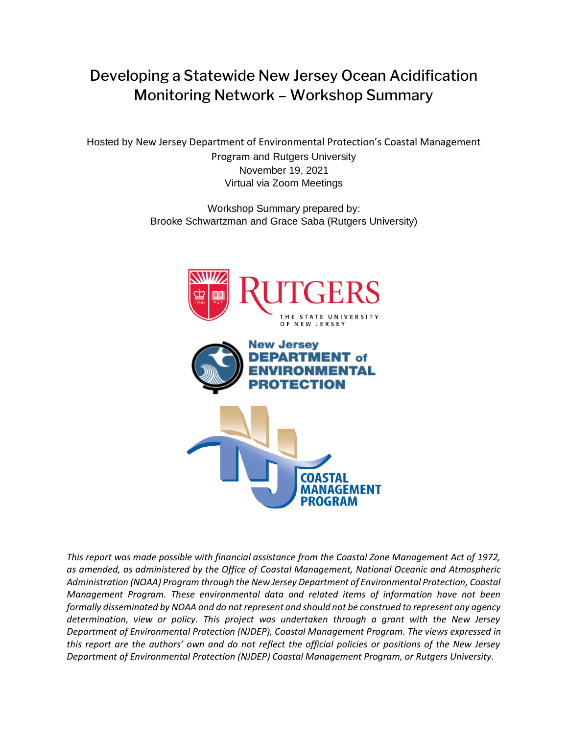# Developing a Statewide New Jersey Ocean Acidification Monitoring Network – Workshop Summary

Hosted by New Jersey Department of Environmental Protection's Coastal Management Program and Rutgers University November 19, 2021 Virtual via Zoom Meetings

> Workshop Summary prepared by: Brooke Schwartzman and Grace Saba (Rutgers University)



*This report was made possible with financial assistance from the Coastal Zone Management Act of 1972, as amended, as administered by the Office of Coastal Management, National Oceanic and Atmospheric Administration (NOAA) Program through the New Jersey Department of Environmental Protection, Coastal Management Program. These environmental data and related items of information have not been formally disseminated by NOAA and do not represent and should not be construed to represent any agency determination, view or policy. This project was undertaken through a grant with the New Jersey Department of Environmental Protection (NJDEP), Coastal Management Program. The views expressed in this report are the authors' own and do not reflect the official policies or positions of the New Jersey Department of Environmental Protection (NJDEP) Coastal Management Program, or Rutgers University.*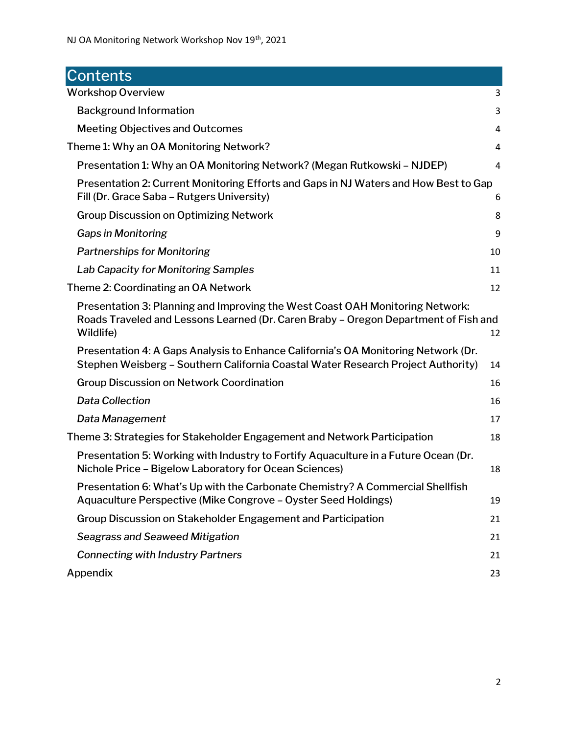<span id="page-1-0"></span>

| Contents                                                                                                                                                                          |    |
|-----------------------------------------------------------------------------------------------------------------------------------------------------------------------------------|----|
| <b>Workshop Overview</b>                                                                                                                                                          | 3  |
| <b>Background Information</b>                                                                                                                                                     | 3  |
| <b>Meeting Objectives and Outcomes</b>                                                                                                                                            | 4  |
| Theme 1: Why an OA Monitoring Network?                                                                                                                                            | 4  |
| Presentation 1: Why an OA Monitoring Network? (Megan Rutkowski – NJDEP)                                                                                                           | 4  |
| Presentation 2: Current Monitoring Efforts and Gaps in NJ Waters and How Best to Gap<br>Fill (Dr. Grace Saba - Rutgers University)                                                | 6  |
| <b>Group Discussion on Optimizing Network</b>                                                                                                                                     | 8  |
| Gaps in Monitoring                                                                                                                                                                | 9  |
| <b>Partnerships for Monitoring</b>                                                                                                                                                | 10 |
| Lab Capacity for Monitoring Samples                                                                                                                                               | 11 |
| Theme 2: Coordinating an OA Network                                                                                                                                               | 12 |
| Presentation 3: Planning and Improving the West Coast OAH Monitoring Network:<br>Roads Traveled and Lessons Learned (Dr. Caren Braby - Oregon Department of Fish and<br>Wildlife) | 12 |
| Presentation 4: A Gaps Analysis to Enhance California's OA Monitoring Network (Dr.<br>Stephen Weisberg - Southern California Coastal Water Research Project Authority)            | 14 |
| <b>Group Discussion on Network Coordination</b>                                                                                                                                   | 16 |
| <b>Data Collection</b>                                                                                                                                                            | 16 |
| Data Management                                                                                                                                                                   | 17 |
| Theme 3: Strategies for Stakeholder Engagement and Network Participation                                                                                                          | 18 |
| Presentation 5: Working with Industry to Fortify Aquaculture in a Future Ocean (Dr.<br>Nichole Price - Bigelow Laboratory for Ocean Sciences)                                     | 18 |
| Presentation 6: What's Up with the Carbonate Chemistry? A Commercial Shellfish<br>Aquaculture Perspective (Mike Congrove - Oyster Seed Holdings)                                  | 19 |
| Group Discussion on Stakeholder Engagement and Participation                                                                                                                      | 21 |
| <b>Seagrass and Seaweed Mitigation</b>                                                                                                                                            | 21 |
| <b>Connecting with Industry Partners</b>                                                                                                                                          | 21 |
| Appendix                                                                                                                                                                          | 23 |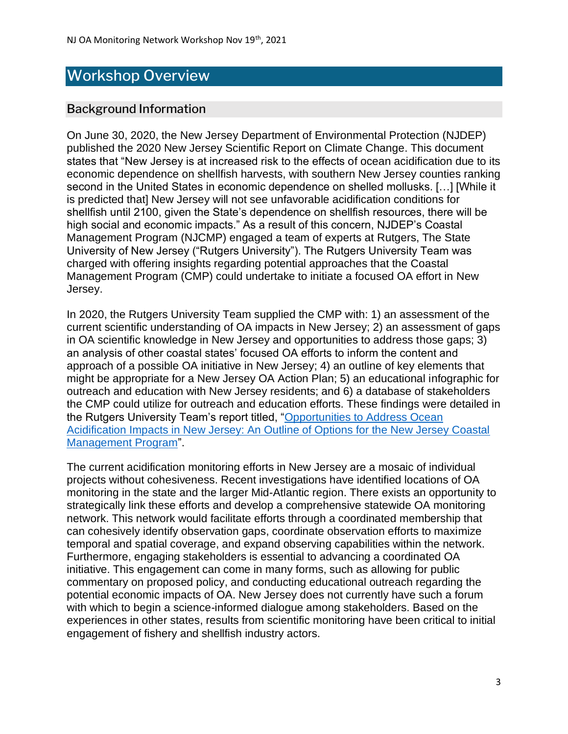# Workshop Overview

## <span id="page-2-0"></span>Background Information

On June 30, 2020, the New Jersey Department of Environmental Protection (NJDEP) published the 2020 New Jersey Scientific Report on Climate Change. This document states that "New Jersey is at increased risk to the effects of ocean acidification due to its economic dependence on shellfish harvests, with southern New Jersey counties ranking second in the United States in economic dependence on shelled mollusks. […] [While it is predicted that] New Jersey will not see unfavorable acidification conditions for shellfish until 2100, given the State's dependence on shellfish resources, there will be high social and economic impacts." As a result of this concern, NJDEP's Coastal Management Program (NJCMP) engaged a team of experts at Rutgers, The State University of New Jersey ("Rutgers University"). The Rutgers University Team was charged with offering insights regarding potential approaches that the Coastal Management Program (CMP) could undertake to initiate a focused OA effort in New Jersey.

In 2020, the Rutgers University Team supplied the CMP with: 1) an assessment of the current scientific understanding of OA impacts in New Jersey; 2) an assessment of gaps in OA scientific knowledge in New Jersey and opportunities to address those gaps; 3) an analysis of other coastal states' focused OA efforts to inform the content and approach of a possible OA initiative in New Jersey; 4) an outline of key elements that might be appropriate for a New Jersey OA Action Plan; 5) an educational infographic for outreach and education with New Jersey residents; and 6) a database of stakeholders the CMP could utilize for outreach and education efforts. These findings were detailed in the Rutgers University Team's report titled, ["Opportunities to Address Ocean](https://njclimateresourcecenter.rutgers.edu/resources/opportunities-to-address-ocean-acidification-impacts-in-new-jersey/)  [Acidification Impacts in New Jersey: An Outline of Options for the New Jersey Coastal](https://njclimateresourcecenter.rutgers.edu/resources/opportunities-to-address-ocean-acidification-impacts-in-new-jersey/)  [Management Program"](https://njclimateresourcecenter.rutgers.edu/resources/opportunities-to-address-ocean-acidification-impacts-in-new-jersey/).

The current acidification monitoring efforts in New Jersey are a mosaic of individual projects without cohesiveness. Recent investigations have identified locations of OA monitoring in the state and the larger Mid-Atlantic region. There exists an opportunity to strategically link these efforts and develop a comprehensive statewide OA monitoring network. This network would facilitate efforts through a coordinated membership that can cohesively identify observation gaps, coordinate observation efforts to maximize temporal and spatial coverage, and expand observing capabilities within the network. Furthermore, engaging stakeholders is essential to advancing a coordinated OA initiative. This engagement can come in many forms, such as allowing for public commentary on proposed policy, and conducting educational outreach regarding the potential economic impacts of OA. New Jersey does not currently have such a forum with which to begin a science-informed dialogue among stakeholders. Based on the experiences in other states, results from scientific monitoring have been critical to initial engagement of fishery and shellfish industry actors.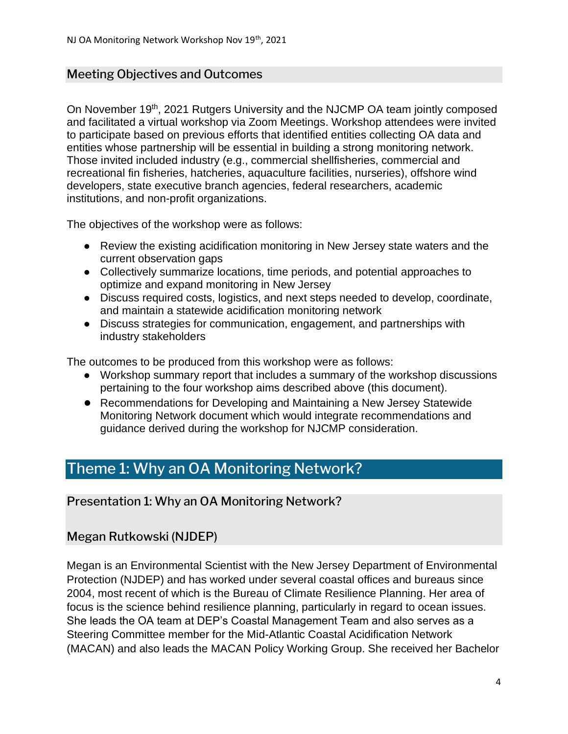#### <span id="page-3-0"></span>Meeting Objectives and Outcomes

On November 19<sup>th</sup>, 2021 Rutgers University and the NJCMP OA team jointly composed and facilitated a virtual workshop via Zoom Meetings. Workshop attendees were invited to participate based on previous efforts that identified entities collecting OA data and entities whose partnership will be essential in building a strong monitoring network. Those invited included industry (e.g., commercial shellfisheries, commercial and recreational fin fisheries, hatcheries, aquaculture facilities, nurseries), offshore wind developers, state executive branch agencies, federal researchers, academic institutions, and non-profit organizations.

The objectives of the workshop were as follows:

- Review the existing acidification monitoring in New Jersey state waters and the current observation gaps
- Collectively summarize locations, time periods, and potential approaches to optimize and expand monitoring in New Jersey
- Discuss required costs, logistics, and next steps needed to develop, coordinate, and maintain a statewide acidification monitoring network
- Discuss strategies for communication, engagement, and partnerships with industry stakeholders

The outcomes to be produced from this workshop were as follows:

- Workshop summary report that includes a summary of the workshop discussions pertaining to the four workshop aims described above (this document).
- Recommendations for Developing and Maintaining a New Jersey Statewide Monitoring Network document which would integrate recommendations and guidance derived during the workshop for NJCMP consideration.

# <span id="page-3-1"></span>Theme 1: Why an OA Monitoring Network?

<span id="page-3-2"></span>Presentation 1: Why an OA Monitoring Network?

# Megan Rutkowski (NJDEP)

Megan is an Environmental Scientist with the New Jersey Department of Environmental Protection (NJDEP) and has worked under several coastal offices and bureaus since 2004, most recent of which is the Bureau of Climate Resilience Planning. Her area of focus is the science behind resilience planning, particularly in regard to ocean issues. She leads the OA team at DEP's Coastal Management Team and also serves as a Steering Committee member for the Mid-Atlantic Coastal Acidification Network (MACAN) and also leads the MACAN Policy Working Group. She received her Bachelor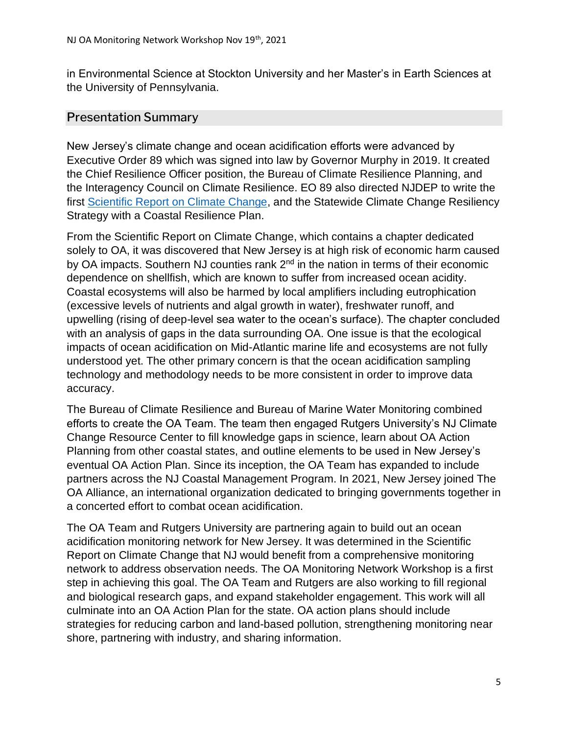in Environmental Science at Stockton University and her Master's in Earth Sciences at the University of Pennsylvania.

#### Presentation Summary

New Jersey's climate change and ocean acidification efforts were advanced by Executive Order 89 which was signed into law by Governor Murphy in 2019. It created the Chief Resilience Officer position, the Bureau of Climate Resilience Planning, and the Interagency Council on Climate Resilience. EO 89 also directed NJDEP to write the first [Scientific Report on Climate Change,](https://www.nj.gov/dep/climatechange/docs/nj-scientific-report-2020.pdf) and the Statewide Climate Change Resiliency Strategy with a Coastal Resilience Plan.

From the Scientific Report on Climate Change, which contains a chapter dedicated solely to OA, it was discovered that New Jersey is at high risk of economic harm caused by OA impacts. Southern NJ counties rank 2<sup>nd</sup> in the nation in terms of their economic dependence on shellfish, which are known to suffer from increased ocean acidity. Coastal ecosystems will also be harmed by local amplifiers including eutrophication (excessive levels of nutrients and algal growth in water), freshwater runoff, and upwelling (rising of deep-level sea water to the ocean's surface). The chapter concluded with an analysis of gaps in the data surrounding OA. One issue is that the ecological impacts of ocean acidification on Mid-Atlantic marine life and ecosystems are not fully understood yet. The other primary concern is that the ocean acidification sampling technology and methodology needs to be more consistent in order to improve data accuracy.

The Bureau of Climate Resilience and Bureau of Marine Water Monitoring combined efforts to create the OA Team. The team then engaged Rutgers University's NJ Climate Change Resource Center to fill knowledge gaps in science, learn about OA Action Planning from other coastal states, and outline elements to be used in New Jersey's eventual OA Action Plan. Since its inception, the OA Team has expanded to include partners across the NJ Coastal Management Program. In 2021, New Jersey joined The OA Alliance, an international organization dedicated to bringing governments together in a concerted effort to combat ocean acidification.

The OA Team and Rutgers University are partnering again to build out an ocean acidification monitoring network for New Jersey. It was determined in the Scientific Report on Climate Change that NJ would benefit from a comprehensive monitoring network to address observation needs. The OA Monitoring Network Workshop is a first step in achieving this goal. The OA Team and Rutgers are also working to fill regional and biological research gaps, and expand stakeholder engagement. This work will all culminate into an OA Action Plan for the state. OA action plans should include strategies for reducing carbon and land-based pollution, strengthening monitoring near shore, partnering with industry, and sharing information.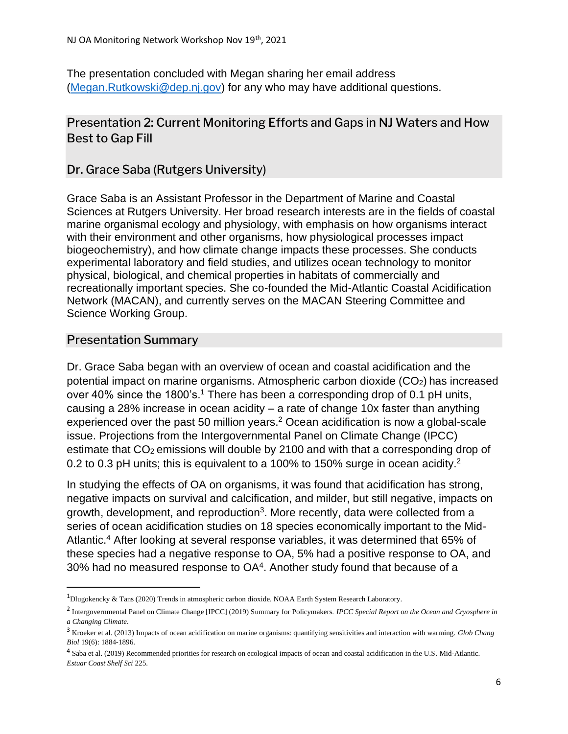The presentation concluded with Megan sharing her email address [\(Megan.Rutkowski@dep.nj.gov\)](mailto:Megan.Rutkowski@dep.nj.gov) for any who may have additional questions.

# <span id="page-5-0"></span>Presentation 2: Current Monitoring Efforts and Gaps in NJ Waters and How Best to Gap Fill

Dr. Grace Saba (Rutgers University)

Grace Saba is an Assistant Professor in the Department of Marine and Coastal Sciences at Rutgers University. Her broad research interests are in the fields of coastal marine organismal ecology and physiology, with emphasis on how organisms interact with their environment and other organisms, how physiological processes impact biogeochemistry), and how climate change impacts these processes. She conducts experimental laboratory and field studies, and utilizes ocean technology to monitor physical, biological, and chemical properties in habitats of commercially and recreationally important species. She co-founded the Mid-Atlantic Coastal Acidification Network (MACAN), and currently serves on the MACAN Steering Committee and Science Working Group.

#### Presentation Summary

Dr. Grace Saba began with an overview of ocean and coastal acidification and the potential impact on marine organisms. Atmospheric carbon dioxide (CO2) has increased over 40% since the 1800's.<sup>1</sup> There has been a corresponding drop of 0.1 pH units, causing a 28% increase in ocean acidity  $-$  a rate of change 10x faster than anything experienced over the past 50 million years.<sup>2</sup> Ocean acidification is now a global-scale issue. Projections from the Intergovernmental Panel on Climate Change (IPCC) estimate that CO<sub>2</sub> emissions will double by 2100 and with that a corresponding drop of 0.2 to 0.3 pH units; this is equivalent to a 100% to 150% surge in ocean acidity.<sup>2</sup>

In studying the effects of OA on organisms, it was found that acidification has strong, negative impacts on survival and calcification, and milder, but still negative, impacts on growth, development, and reproduction<sup>3</sup>. More recently, data were collected from a series of ocean acidification studies on 18 species economically important to the Mid-Atlantic.<sup>4</sup> After looking at several response variables, it was determined that 65% of these species had a negative response to OA, 5% had a positive response to OA, and 30% had no measured response to  $OA<sup>4</sup>$ . Another study found that because of a

<sup>1</sup>Dlugokencky & Tans (2020) Trends in atmospheric carbon dioxide. NOAA Earth System Research Laboratory.

<sup>2</sup> Intergovernmental Panel on Climate Change [IPCC] (2019) Summary for Policymakers. *IPCC Special Report on the Ocean and Cryosphere in a Changing Climate*.

<sup>3</sup> Kroeker et al. (2013) Impacts of ocean acidification on marine organisms: quantifying sensitivities and interaction with warming. *Glob Chang Biol* 19(6): 1884-1896.

<sup>4</sup> Saba et al. (2019) Recommended priorities for research on ecological impacts of ocean and coastal acidification in the U.S. Mid-Atlantic. *Estuar Coast Shelf Sci* 225.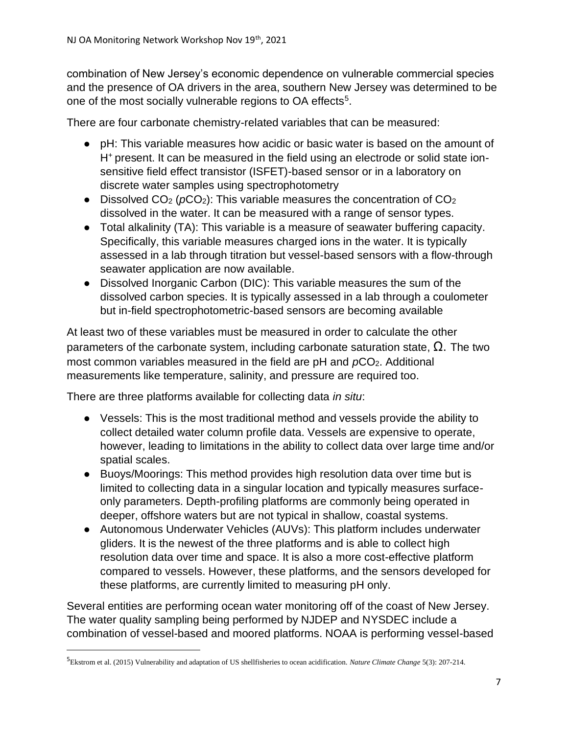combination of New Jersey's economic dependence on vulnerable commercial species and the presence of OA drivers in the area, southern New Jersey was determined to be one of the most socially vulnerable regions to OA effects<sup>5</sup>.

There are four carbonate chemistry-related variables that can be measured:

- pH: This variable measures how acidic or basic water is based on the amount of H+ present. It can be measured in the field using an electrode or solid state ionsensitive field effect transistor (ISFET)-based sensor or in a laboratory on discrete water samples using spectrophotometry
- Dissolved CO<sub>2</sub> (*p*CO<sub>2</sub>): This variable measures the concentration of CO<sub>2</sub> dissolved in the water. It can be measured with a range of sensor types.
- Total alkalinity (TA): This variable is a measure of seawater buffering capacity. Specifically, this variable measures charged ions in the water. It is typically assessed in a lab through titration but vessel-based sensors with a flow-through seawater application are now available.
- Dissolved Inorganic Carbon (DIC): This variable measures the sum of the dissolved carbon species. It is typically assessed in a lab through a coulometer but in-field spectrophotometric-based sensors are becoming available

At least two of these variables must be measured in order to calculate the other parameters of the carbonate system, including carbonate saturation state,  $\Omega$ . The two most common variables measured in the field are pH and  $pCO<sub>2</sub>$ . Additional measurements like temperature, salinity, and pressure are required too.

There are three platforms available for collecting data *in situ*:

- Vessels: This is the most traditional method and vessels provide the ability to collect detailed water column profile data. Vessels are expensive to operate, however, leading to limitations in the ability to collect data over large time and/or spatial scales.
- Buoys/Moorings: This method provides high resolution data over time but is limited to collecting data in a singular location and typically measures surfaceonly parameters. Depth-profiling platforms are commonly being operated in deeper, offshore waters but are not typical in shallow, coastal systems.
- Autonomous Underwater Vehicles (AUVs): This platform includes underwater gliders. It is the newest of the three platforms and is able to collect high resolution data over time and space. It is also a more cost-effective platform compared to vessels. However, these platforms, and the sensors developed for these platforms, are currently limited to measuring pH only.

Several entities are performing ocean water monitoring off of the coast of New Jersey. The water quality sampling being performed by NJDEP and NYSDEC include a combination of vessel-based and moored platforms. NOAA is performing vessel-based

<sup>5</sup>Ekstrom et al. (2015) Vulnerability and adaptation of US shellfisheries to ocean acidification. *Nature Climate Change* 5(3): 207-214.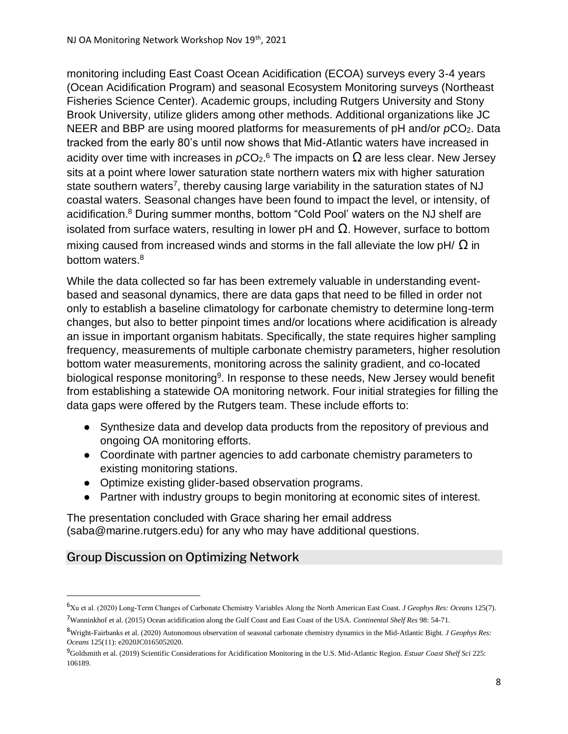monitoring including East Coast Ocean Acidification (ECOA) surveys every 3-4 years (Ocean Acidification Program) and seasonal Ecosystem Monitoring surveys (Northeast Fisheries Science Center). Academic groups, including Rutgers University and Stony Brook University, utilize gliders among other methods. Additional organizations like JC NEER and BBP are using moored platforms for measurements of pH and/or  $pCO<sub>2</sub>$ . Data tracked from the early 80's until now shows that Mid-Atlantic waters have increased in acidity over time with increases in  $p$ CO<sub>2</sub>.<sup>6</sup> The impacts on  $\Omega$  are less clear. New Jersey sits at a point where lower saturation state northern waters mix with higher saturation state southern waters<sup>7</sup>, thereby causing large variability in the saturation states of NJ coastal waters. Seasonal changes have been found to impact the level, or intensity, of acidification.<sup>8</sup> During summer months, bottom "Cold Pool' waters on the NJ shelf are isolated from surface waters, resulting in lower pH and  $Ω$ . However, surface to bottom mixing caused from increased winds and storms in the fall alleviate the low pH/  $\Omega$  in bottom waters.<sup>8</sup>

While the data collected so far has been extremely valuable in understanding eventbased and seasonal dynamics, there are data gaps that need to be filled in order not only to establish a baseline climatology for carbonate chemistry to determine long-term changes, but also to better pinpoint times and/or locations where acidification is already an issue in important organism habitats. Specifically, the state requires higher sampling frequency, measurements of multiple carbonate chemistry parameters, higher resolution bottom water measurements, monitoring across the salinity gradient, and co-located biological response monitoring<sup>9</sup>. In response to these needs, New Jersey would benefit from establishing a statewide OA monitoring network. Four initial strategies for filling the data gaps were offered by the Rutgers team. These include efforts to:

- Synthesize data and develop data products from the repository of previous and ongoing OA monitoring efforts.
- Coordinate with partner agencies to add carbonate chemistry parameters to existing monitoring stations.
- Optimize existing glider-based observation programs.
- Partner with industry groups to begin monitoring at economic sites of interest.

The presentation concluded with Grace sharing her email address (saba@marine.rutgers.edu) for any who may have additional questions.

# <span id="page-7-0"></span>Group Discussion on Optimizing Network

<sup>6</sup>Xu et al. (2020) Long‐Term Changes of Carbonate Chemistry Variables Along the North American East Coast. *J Geophys Res: Oceans* 125(7). <sup>7</sup>Wanninkhof et al. (2015) Ocean acidification along the Gulf Coast and East Coast of the USA. *Continental Shelf Res* 98: 54-71.

<sup>8</sup>Wright-Fairbanks et al. (2020) Autonomous observation of seasonal carbonate chemistry dynamics in the Mid-Atlantic Bight. *J Geophys Res: Oceans* 125(11): e2020JC0165052020.

<sup>9</sup>Goldsmith et al. (2019) Scientific Considerations for Acidification Monitoring in the U.S. Mid-Atlantic Region. *Estuar Coast Shelf Sci* 225: 106189.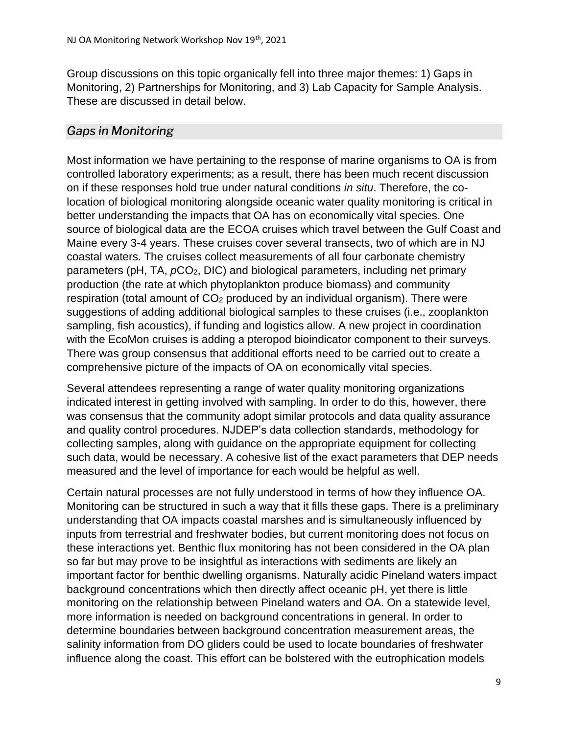Group discussions on this topic organically fell into three major themes: 1) Gaps in Monitoring, 2) Partnerships for Monitoring, and 3) Lab Capacity for Sample Analysis. These are discussed in detail below.

# <span id="page-8-0"></span>*Gaps in Monitoring*

Most information we have pertaining to the response of marine organisms to OA is from controlled laboratory experiments; as a result, there has been much recent discussion on if these responses hold true under natural conditions *in situ*. Therefore, the colocation of biological monitoring alongside oceanic water quality monitoring is critical in better understanding the impacts that OA has on economically vital species. One source of biological data are the ECOA cruises which travel between the Gulf Coast and Maine every 3-4 years. These cruises cover several transects, two of which are in NJ coastal waters. The cruises collect measurements of all four carbonate chemistry parameters (pH, TA, *p*CO2, DIC) and biological parameters, including net primary production (the rate at which phytoplankton produce biomass) and community respiration (total amount of CO<sub>2</sub> produced by an individual organism). There were suggestions of adding additional biological samples to these cruises (i.e., zooplankton sampling, fish acoustics), if funding and logistics allow. A new project in coordination with the EcoMon cruises is adding a pteropod bioindicator component to their surveys. There was group consensus that additional efforts need to be carried out to create a comprehensive picture of the impacts of OA on economically vital species.

Several attendees representing a range of water quality monitoring organizations indicated interest in getting involved with sampling. In order to do this, however, there was consensus that the community adopt similar protocols and data quality assurance and quality control procedures. NJDEP's data collection standards, methodology for collecting samples, along with guidance on the appropriate equipment for collecting such data, would be necessary. A cohesive list of the exact parameters that DEP needs measured and the level of importance for each would be helpful as well.

Certain natural processes are not fully understood in terms of how they influence OA. Monitoring can be structured in such a way that it fills these gaps. There is a preliminary understanding that OA impacts coastal marshes and is simultaneously influenced by inputs from terrestrial and freshwater bodies, but current monitoring does not focus on these interactions yet. Benthic flux monitoring has not been considered in the OA plan so far but may prove to be insightful as interactions with sediments are likely an important factor for benthic dwelling organisms. Naturally acidic Pineland waters impact background concentrations which then directly affect oceanic pH, yet there is little monitoring on the relationship between Pineland waters and OA. On a statewide level, more information is needed on background concentrations in general. In order to determine boundaries between background concentration measurement areas, the salinity information from DO gliders could be used to locate boundaries of freshwater influence along the coast. This effort can be bolstered with the eutrophication models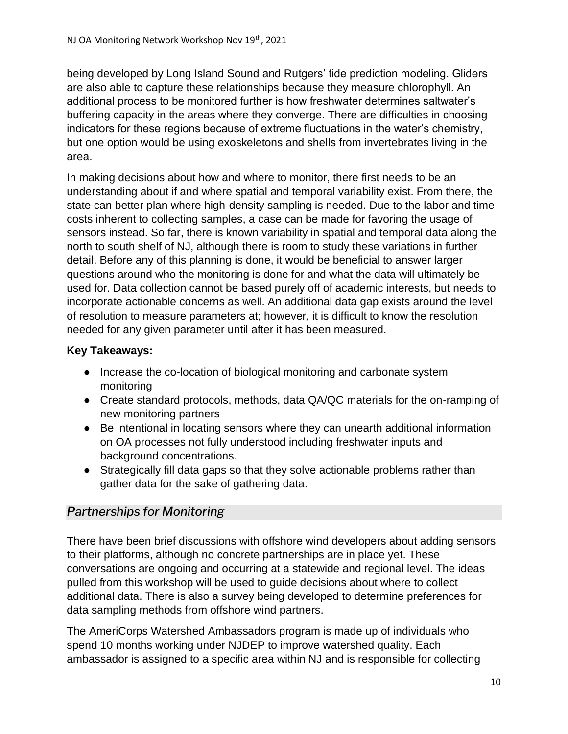being developed by Long Island Sound and Rutgers' tide prediction modeling. Gliders are also able to capture these relationships because they measure chlorophyll. An additional process to be monitored further is how freshwater determines saltwater's buffering capacity in the areas where they converge. There are difficulties in choosing indicators for these regions because of extreme fluctuations in the water's chemistry, but one option would be using exoskeletons and shells from invertebrates living in the area.

In making decisions about how and where to monitor, there first needs to be an understanding about if and where spatial and temporal variability exist. From there, the state can better plan where high-density sampling is needed. Due to the labor and time costs inherent to collecting samples, a case can be made for favoring the usage of sensors instead. So far, there is known variability in spatial and temporal data along the north to south shelf of NJ, although there is room to study these variations in further detail. Before any of this planning is done, it would be beneficial to answer larger questions around who the monitoring is done for and what the data will ultimately be used for. Data collection cannot be based purely off of academic interests, but needs to incorporate actionable concerns as well. An additional data gap exists around the level of resolution to measure parameters at; however, it is difficult to know the resolution needed for any given parameter until after it has been measured.

## **Key Takeaways:**

- Increase the co-location of biological monitoring and carbonate system monitoring
- Create standard protocols, methods, data QA/QC materials for the on-ramping of new monitoring partners
- Be intentional in locating sensors where they can unearth additional information on OA processes not fully understood including freshwater inputs and background concentrations.
- Strategically fill data gaps so that they solve actionable problems rather than gather data for the sake of gathering data.

# <span id="page-9-0"></span>*Partnerships for Monitoring*

There have been brief discussions with offshore wind developers about adding sensors to their platforms, although no concrete partnerships are in place yet. These conversations are ongoing and occurring at a statewide and regional level. The ideas pulled from this workshop will be used to guide decisions about where to collect additional data. There is also a survey being developed to determine preferences for data sampling methods from offshore wind partners.

The AmeriCorps Watershed Ambassadors program is made up of individuals who spend 10 months working under NJDEP to improve watershed quality. Each ambassador is assigned to a specific area within NJ and is responsible for collecting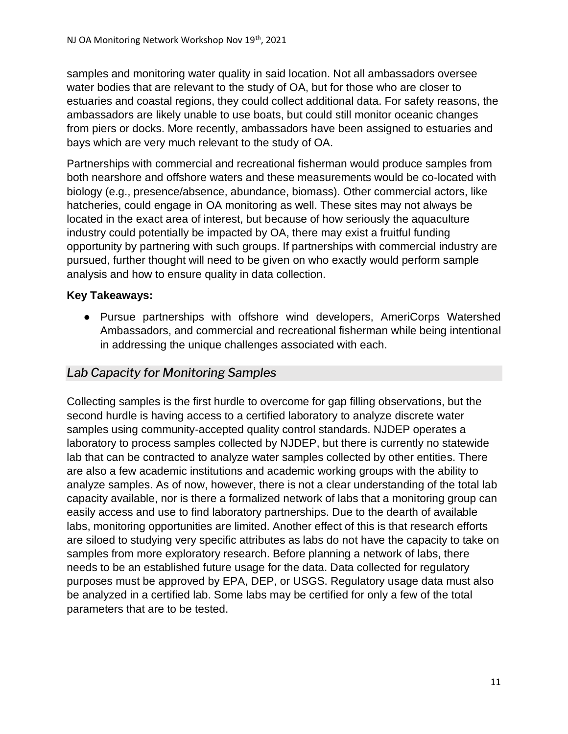samples and monitoring water quality in said location. Not all ambassadors oversee water bodies that are relevant to the study of OA, but for those who are closer to estuaries and coastal regions, they could collect additional data. For safety reasons, the ambassadors are likely unable to use boats, but could still monitor oceanic changes from piers or docks. More recently, ambassadors have been assigned to estuaries and bays which are very much relevant to the study of OA.

Partnerships with commercial and recreational fisherman would produce samples from both nearshore and offshore waters and these measurements would be co-located with biology (e.g., presence/absence, abundance, biomass). Other commercial actors, like hatcheries, could engage in OA monitoring as well. These sites may not always be located in the exact area of interest, but because of how seriously the aquaculture industry could potentially be impacted by OA, there may exist a fruitful funding opportunity by partnering with such groups. If partnerships with commercial industry are pursued, further thought will need to be given on who exactly would perform sample analysis and how to ensure quality in data collection.

#### **Key Takeaways:**

● Pursue partnerships with offshore wind developers, AmeriCorps Watershed Ambassadors, and commercial and recreational fisherman while being intentional in addressing the unique challenges associated with each.

#### <span id="page-10-0"></span>*Lab Capacity for Monitoring Samples*

Collecting samples is the first hurdle to overcome for gap filling observations, but the second hurdle is having access to a certified laboratory to analyze discrete water samples using community-accepted quality control standards. NJDEP operates a laboratory to process samples collected by NJDEP, but there is currently no statewide lab that can be contracted to analyze water samples collected by other entities. There are also a few academic institutions and academic working groups with the ability to analyze samples. As of now, however, there is not a clear understanding of the total lab capacity available, nor is there a formalized network of labs that a monitoring group can easily access and use to find laboratory partnerships. Due to the dearth of available labs, monitoring opportunities are limited. Another effect of this is that research efforts are siloed to studying very specific attributes as labs do not have the capacity to take on samples from more exploratory research. Before planning a network of labs, there needs to be an established future usage for the data. Data collected for regulatory purposes must be approved by EPA, DEP, or USGS. Regulatory usage data must also be analyzed in a certified lab. Some labs may be certified for only a few of the total parameters that are to be tested.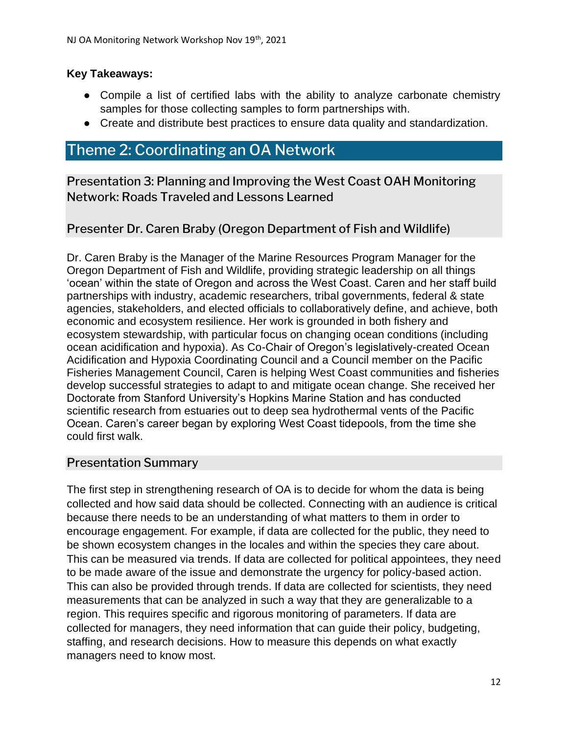#### **Key Takeaways:**

- Compile a list of certified labs with the ability to analyze carbonate chemistry samples for those collecting samples to form partnerships with.
- Create and distribute best practices to ensure data quality and standardization.

# <span id="page-11-0"></span>Theme 2: Coordinating an OA Network

<span id="page-11-1"></span>Presentation 3: Planning and Improving the West Coast OAH Monitoring Network: Roads Traveled and Lessons Learned

Presenter Dr. Caren Braby (Oregon Department of Fish and Wildlife)

Dr. Caren Braby is the Manager of the Marine Resources Program Manager for the Oregon Department of Fish and Wildlife, providing strategic leadership on all things 'ocean' within the state of Oregon and across the West Coast. Caren and her staff build partnerships with industry, academic researchers, tribal governments, federal & state agencies, stakeholders, and elected officials to collaboratively define, and achieve, both economic and ecosystem resilience. Her work is grounded in both fishery and ecosystem stewardship, with particular focus on changing ocean conditions (including ocean acidification and hypoxia). As Co-Chair of Oregon's legislatively-created Ocean Acidification and Hypoxia Coordinating Council and a Council member on the Pacific Fisheries Management Council, Caren is helping West Coast communities and fisheries develop successful strategies to adapt to and mitigate ocean change. She received her Doctorate from Stanford University's Hopkins Marine Station and has conducted scientific research from estuaries out to deep sea hydrothermal vents of the Pacific Ocean. Caren's career began by exploring West Coast tidepools, from the time she could first walk.

#### Presentation Summary

The first step in strengthening research of OA is to decide for whom the data is being collected and how said data should be collected. Connecting with an audience is critical because there needs to be an understanding of what matters to them in order to encourage engagement. For example, if data are collected for the public, they need to be shown ecosystem changes in the locales and within the species they care about. This can be measured via trends. If data are collected for political appointees, they need to be made aware of the issue and demonstrate the urgency for policy-based action. This can also be provided through trends. If data are collected for scientists, they need measurements that can be analyzed in such a way that they are generalizable to a region. This requires specific and rigorous monitoring of parameters. If data are collected for managers, they need information that can guide their policy, budgeting, staffing, and research decisions. How to measure this depends on what exactly managers need to know most.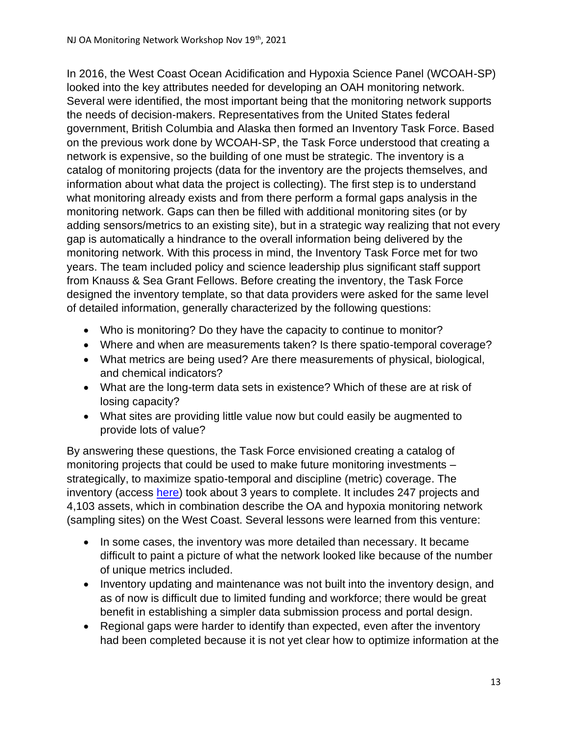In 2016, the West Coast Ocean Acidification and Hypoxia Science Panel (WCOAH-SP) looked into the key attributes needed for developing an OAH monitoring network. Several were identified, the most important being that the monitoring network supports the needs of decision-makers. Representatives from the United States federal government, British Columbia and Alaska then formed an Inventory Task Force. Based on the previous work done by WCOAH-SP, the Task Force understood that creating a network is expensive, so the building of one must be strategic. The inventory is a catalog of monitoring projects (data for the inventory are the projects themselves, and information about what data the project is collecting). The first step is to understand what monitoring already exists and from there perform a formal gaps analysis in the monitoring network. Gaps can then be filled with additional monitoring sites (or by adding sensors/metrics to an existing site), but in a strategic way realizing that not every gap is automatically a hindrance to the overall information being delivered by the monitoring network. With this process in mind, the Inventory Task Force met for two years. The team included policy and science leadership plus significant staff support from Knauss & Sea Grant Fellows. Before creating the inventory, the Task Force designed the inventory template, so that data providers were asked for the same level of detailed information, generally characterized by the following questions:

- Who is monitoring? Do they have the capacity to continue to monitor?
- Where and when are measurements taken? Is there spatio-temporal coverage?
- What metrics are being used? Are there measurements of physical, biological, and chemical indicators?
- What are the long-term data sets in existence? Which of these are at risk of losing capacity?
- What sites are providing little value now but could easily be augmented to provide lots of value?

By answering these questions, the Task Force envisioned creating a catalog of monitoring projects that could be used to make future monitoring investments – strategically, to maximize spatio-temporal and discipline (metric) coverage. The inventory (access [here\)](https://geo.maps.arcgis.com/apps/webappviewer/index.html?id=a8b5c0ecfbe7451e950def767c55335e) took about 3 years to complete. It includes 247 projects and 4,103 assets, which in combination describe the OA and hypoxia monitoring network (sampling sites) on the West Coast. Several lessons were learned from this venture:

- In some cases, the inventory was more detailed than necessary. It became difficult to paint a picture of what the network looked like because of the number of unique metrics included.
- Inventory updating and maintenance was not built into the inventory design, and as of now is difficult due to limited funding and workforce; there would be great benefit in establishing a simpler data submission process and portal design.
- Regional gaps were harder to identify than expected, even after the inventory had been completed because it is not yet clear how to optimize information at the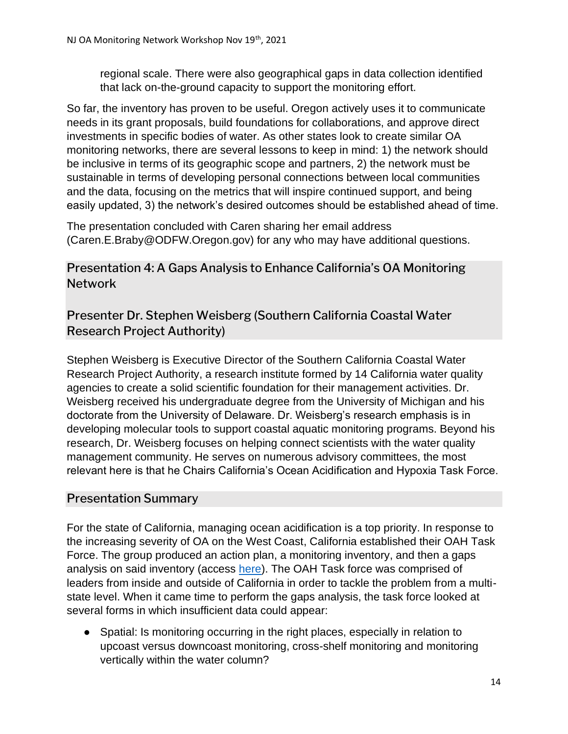regional scale. There were also geographical gaps in data collection identified that lack on-the-ground capacity to support the monitoring effort.

So far, the inventory has proven to be useful. Oregon actively uses it to communicate needs in its grant proposals, build foundations for collaborations, and approve direct investments in specific bodies of water. As other states look to create similar OA monitoring networks, there are several lessons to keep in mind: 1) the network should be inclusive in terms of its geographic scope and partners, 2) the network must be sustainable in terms of developing personal connections between local communities and the data, focusing on the metrics that will inspire continued support, and being easily updated, 3) the network's desired outcomes should be established ahead of time.

The presentation concluded with Caren sharing her email address (Caren.E.Braby@ODFW.Oregon.gov) for any who may have additional questions.

# <span id="page-13-0"></span>Presentation 4: A Gaps Analysis to Enhance California's OA Monitoring **Network**

# Presenter Dr. Stephen Weisberg (Southern California Coastal Water Research Project Authority)

Stephen Weisberg is Executive Director of the Southern California Coastal Water Research Project Authority, a research institute formed by 14 California water quality agencies to create a solid scientific foundation for their management activities. Dr. Weisberg received his undergraduate degree from the University of Michigan and his doctorate from the University of Delaware. Dr. Weisberg's research emphasis is in developing molecular tools to support coastal aquatic monitoring programs. Beyond his research, Dr. Weisberg focuses on helping connect scientists with the water quality management community. He serves on numerous advisory committees, the most relevant here is that he Chairs California's Ocean Acidification and Hypoxia Task Force.

# Presentation Summary

For the state of California, managing ocean acidification is a top priority. In response to the increasing severity of OA on the West Coast, California established their OAH Task Force. The group produced an action plan, a monitoring inventory, and then a gaps analysis on said inventory (access [here\)](https://westcoastoah.org/taskforce/products/). The OAH Task force was comprised of leaders from inside and outside of California in order to tackle the problem from a multistate level. When it came time to perform the gaps analysis, the task force looked at several forms in which insufficient data could appear:

● Spatial: Is monitoring occurring in the right places, especially in relation to upcoast versus downcoast monitoring, cross-shelf monitoring and monitoring vertically within the water column?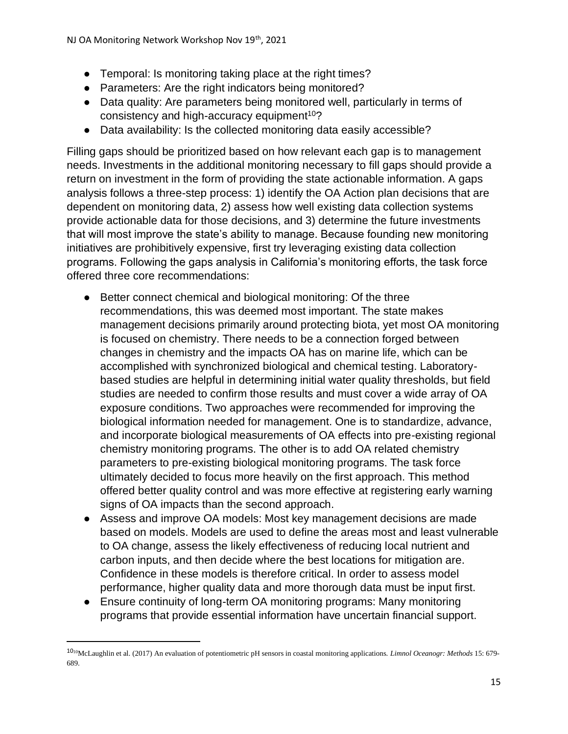- Temporal: Is monitoring taking place at the right times?
- Parameters: Are the right indicators being monitored?
- Data quality: Are parameters being monitored well, particularly in terms of consistency and high-accuracy equipment<sup>10</sup>?
- Data availability: Is the collected monitoring data easily accessible?

Filling gaps should be prioritized based on how relevant each gap is to management needs. Investments in the additional monitoring necessary to fill gaps should provide a return on investment in the form of providing the state actionable information. A gaps analysis follows a three-step process: 1) identify the OA Action plan decisions that are dependent on monitoring data, 2) assess how well existing data collection systems provide actionable data for those decisions, and 3) determine the future investments that will most improve the state's ability to manage. Because founding new monitoring initiatives are prohibitively expensive, first try leveraging existing data collection programs. Following the gaps analysis in California's monitoring efforts, the task force offered three core recommendations:

- Better connect chemical and biological monitoring: Of the three recommendations, this was deemed most important. The state makes management decisions primarily around protecting biota, yet most OA monitoring is focused on chemistry. There needs to be a connection forged between changes in chemistry and the impacts OA has on marine life, which can be accomplished with synchronized biological and chemical testing. Laboratorybased studies are helpful in determining initial water quality thresholds, but field studies are needed to confirm those results and must cover a wide array of OA exposure conditions. Two approaches were recommended for improving the biological information needed for management. One is to standardize, advance, and incorporate biological measurements of OA effects into pre-existing regional chemistry monitoring programs. The other is to add OA related chemistry parameters to pre-existing biological monitoring programs. The task force ultimately decided to focus more heavily on the first approach. This method offered better quality control and was more effective at registering early warning signs of OA impacts than the second approach.
- Assess and improve OA models: Most key management decisions are made based on models. Models are used to define the areas most and least vulnerable to OA change, assess the likely effectiveness of reducing local nutrient and carbon inputs, and then decide where the best locations for mitigation are. Confidence in these models is therefore critical. In order to assess model performance, higher quality data and more thorough data must be input first.
- Ensure continuity of long-term OA monitoring programs: Many monitoring programs that provide essential information have uncertain financial support.

<sup>10</sup><sup>10</sup>McLaughlin et al. (2017) An evaluation of potentiometric pH sensors in coastal monitoring applications. *Limnol Oceanogr: Methods* 15: 679- 689.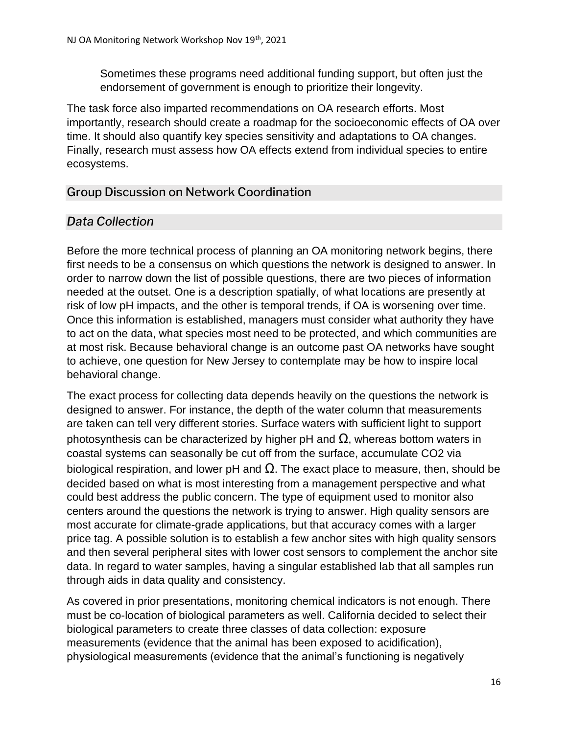Sometimes these programs need additional funding support, but often just the endorsement of government is enough to prioritize their longevity.

The task force also imparted recommendations on OA research efforts. Most importantly, research should create a roadmap for the socioeconomic effects of OA over time. It should also quantify key species sensitivity and adaptations to OA changes. Finally, research must assess how OA effects extend from individual species to entire ecosystems.

# <span id="page-15-0"></span>Group Discussion on Network Coordination

# <span id="page-15-1"></span>*Data Collection*

Before the more technical process of planning an OA monitoring network begins, there first needs to be a consensus on which questions the network is designed to answer. In order to narrow down the list of possible questions, there are two pieces of information needed at the outset. One is a description spatially, of what locations are presently at risk of low pH impacts, and the other is temporal trends, if OA is worsening over time. Once this information is established, managers must consider what authority they have to act on the data, what species most need to be protected, and which communities are at most risk. Because behavioral change is an outcome past OA networks have sought to achieve, one question for New Jersey to contemplate may be how to inspire local behavioral change.

The exact process for collecting data depends heavily on the questions the network is designed to answer. For instance, the depth of the water column that measurements are taken can tell very different stories. Surface waters with sufficient light to support photosynthesis can be characterized by higher pH and  $\Omega$ , whereas bottom waters in coastal systems can seasonally be cut off from the surface, accumulate CO2 via biological respiration, and lower pH and  $Ω$ . The exact place to measure, then, should be decided based on what is most interesting from a management perspective and what could best address the public concern. The type of equipment used to monitor also centers around the questions the network is trying to answer. High quality sensors are most accurate for climate-grade applications, but that accuracy comes with a larger price tag. A possible solution is to establish a few anchor sites with high quality sensors and then several peripheral sites with lower cost sensors to complement the anchor site data. In regard to water samples, having a singular established lab that all samples run through aids in data quality and consistency.

As covered in prior presentations, monitoring chemical indicators is not enough. There must be co-location of biological parameters as well. California decided to select their biological parameters to create three classes of data collection: exposure measurements (evidence that the animal has been exposed to acidification), physiological measurements (evidence that the animal's functioning is negatively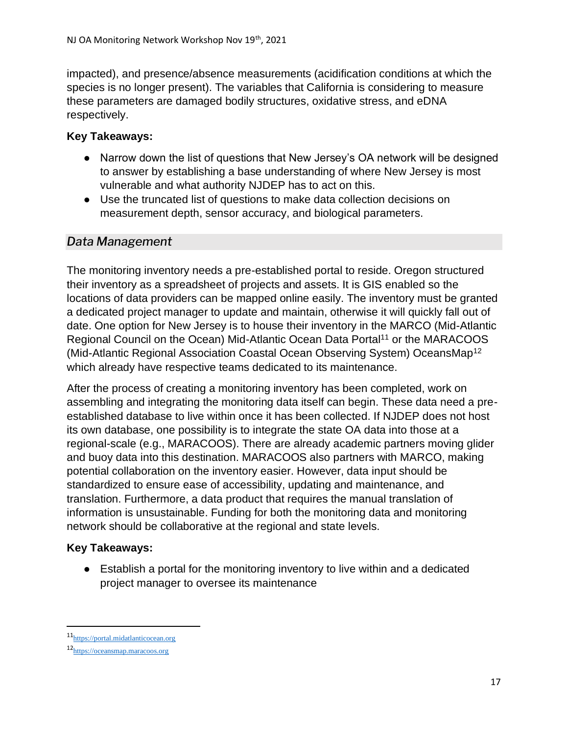impacted), and presence/absence measurements (acidification conditions at which the species is no longer present). The variables that California is considering to measure these parameters are damaged bodily structures, oxidative stress, and eDNA respectively.

#### **Key Takeaways:**

- Narrow down the list of questions that New Jersey's OA network will be designed to answer by establishing a base understanding of where New Jersey is most vulnerable and what authority NJDEP has to act on this.
- Use the truncated list of questions to make data collection decisions on measurement depth, sensor accuracy, and biological parameters.

## <span id="page-16-0"></span>*Data Management*

The monitoring inventory needs a pre-established portal to reside. Oregon structured their inventory as a spreadsheet of projects and assets. It is GIS enabled so the locations of data providers can be mapped online easily. The inventory must be granted a dedicated project manager to update and maintain, otherwise it will quickly fall out of date. One option for New Jersey is to house their inventory in the MARCO (Mid-Atlantic Regional Council on the Ocean) Mid-Atlantic Ocean Data Portal<sup>11</sup> or the MARACOOS (Mid-Atlantic Regional Association Coastal Ocean Observing System) OceansMap<sup>12</sup> which already have respective teams dedicated to its maintenance.

After the process of creating a monitoring inventory has been completed, work on assembling and integrating the monitoring data itself can begin. These data need a preestablished database to live within once it has been collected. If NJDEP does not host its own database, one possibility is to integrate the state OA data into those at a regional-scale (e.g., MARACOOS). There are already academic partners moving glider and buoy data into this destination. MARACOOS also partners with MARCO, making potential collaboration on the inventory easier. However, data input should be standardized to ensure ease of accessibility, updating and maintenance, and translation. Furthermore, a data product that requires the manual translation of information is unsustainable. Funding for both the monitoring data and monitoring network should be collaborative at the regional and state levels.

#### **Key Takeaways:**

● Establish a portal for the monitoring inventory to live within and a dedicated project manager to oversee its maintenance

<sup>11</sup>[https://portal.midatlanticocean.org](https://portal.midatlanticocean.org/)

<sup>12</sup>[https://oceansmap.maracoos.org](https://oceansmap.maracoos.org/)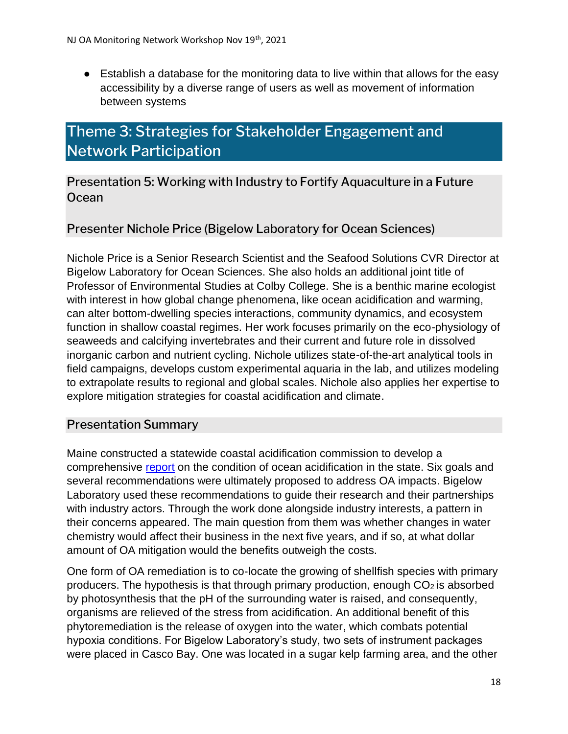● Establish a database for the monitoring data to live within that allows for the easy accessibility by a diverse range of users as well as movement of information between systems

# <span id="page-17-0"></span>Theme 3: Strategies for Stakeholder Engagement and Network Participation

<span id="page-17-1"></span>Presentation 5: Working with Industry to Fortify Aquaculture in a Future **Ocean** 

## Presenter Nichole Price (Bigelow Laboratory for Ocean Sciences)

Nichole Price is a Senior Research Scientist and the Seafood Solutions CVR Director at Bigelow Laboratory for Ocean Sciences. She also holds an additional joint title of Professor of Environmental Studies at Colby College. She is a benthic marine ecologist with interest in how global change phenomena, like ocean acidification and warming, can alter bottom-dwelling species interactions, community dynamics, and ecosystem function in shallow coastal regimes. Her work focuses primarily on the eco-physiology of seaweeds and calcifying invertebrates and their current and future role in dissolved inorganic carbon and nutrient cycling. Nichole utilizes state-of-the-art analytical tools in field campaigns, develops custom experimental aquaria in the lab, and utilizes modeling to extrapolate results to regional and global scales. Nichole also applies her expertise to explore mitigation strategies for coastal acidification and climate.

#### Presentation Summary

Maine constructed a statewide coastal acidification commission to develop a comprehensive [report](https://www.islandinstitute.org/wp-content/uploads/2020/09/Ocean-acidification-report.pdf) on the condition of ocean acidification in the state. Six goals and several recommendations were ultimately proposed to address OA impacts. Bigelow Laboratory used these recommendations to guide their research and their partnerships with industry actors. Through the work done alongside industry interests, a pattern in their concerns appeared. The main question from them was whether changes in water chemistry would affect their business in the next five years, and if so, at what dollar amount of OA mitigation would the benefits outweigh the costs.

One form of OA remediation is to co-locate the growing of shellfish species with primary producers. The hypothesis is that through primary production, enough  $CO<sub>2</sub>$  is absorbed by photosynthesis that the pH of the surrounding water is raised, and consequently, organisms are relieved of the stress from acidification. An additional benefit of this phytoremediation is the release of oxygen into the water, which combats potential hypoxia conditions. For Bigelow Laboratory's study, two sets of instrument packages were placed in Casco Bay. One was located in a sugar kelp farming area, and the other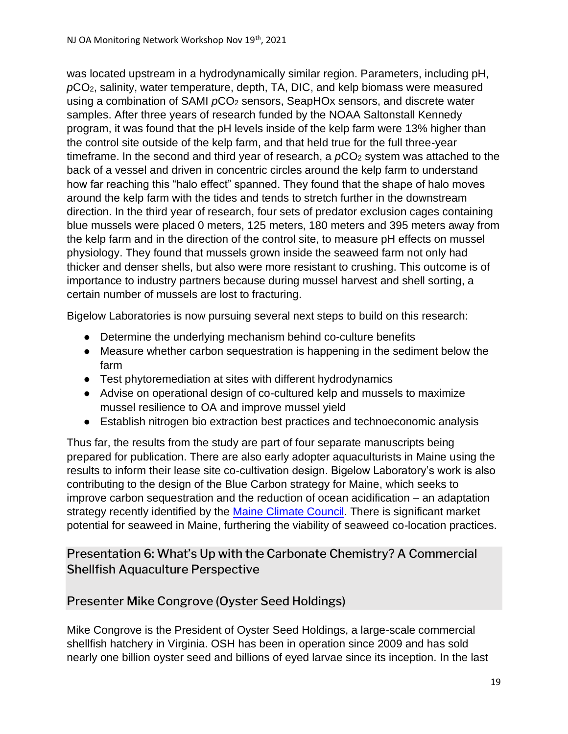was located upstream in a hydrodynamically similar region. Parameters, including pH, *p*CO2, salinity, water temperature, depth, TA, DIC, and kelp biomass were measured using a combination of SAMI  $pCO<sub>2</sub>$  sensors, SeapHOx sensors, and discrete water samples. After three years of research funded by the NOAA Saltonstall Kennedy program, it was found that the pH levels inside of the kelp farm were 13% higher than the control site outside of the kelp farm, and that held true for the full three-year timeframe. In the second and third year of research, a  $pCO<sub>2</sub>$  system was attached to the back of a vessel and driven in concentric circles around the kelp farm to understand how far reaching this "halo effect" spanned. They found that the shape of halo moves around the kelp farm with the tides and tends to stretch further in the downstream direction. In the third year of research, four sets of predator exclusion cages containing blue mussels were placed 0 meters, 125 meters, 180 meters and 395 meters away from the kelp farm and in the direction of the control site, to measure pH effects on mussel physiology. They found that mussels grown inside the seaweed farm not only had thicker and denser shells, but also were more resistant to crushing. This outcome is of importance to industry partners because during mussel harvest and shell sorting, a certain number of mussels are lost to fracturing.

Bigelow Laboratories is now pursuing several next steps to build on this research:

- Determine the underlying mechanism behind co-culture benefits
- Measure whether carbon sequestration is happening in the sediment below the farm
- Test phytoremediation at sites with different hydrodynamics
- Advise on operational design of co-cultured kelp and mussels to maximize mussel resilience to OA and improve mussel yield
- Establish nitrogen bio extraction best practices and technoeconomic analysis

Thus far, the results from the study are part of four separate manuscripts being prepared for publication. There are also early adopter aquaculturists in Maine using the results to inform their lease site co-cultivation design. Bigelow Laboratory's work is also contributing to the design of the Blue Carbon strategy for Maine, which seeks to improve carbon sequestration and the reduction of ocean acidification – an adaptation strategy recently identified by the [Maine Climate Council.](http://climatecouncil.maine.gov/) There is significant market potential for seaweed in Maine, furthering the viability of seaweed co-location practices.

# <span id="page-18-0"></span>Presentation 6: What's Up with the Carbonate Chemistry? A Commercial Shellfish Aquaculture Perspective

# Presenter Mike Congrove (Oyster Seed Holdings)

Mike Congrove is the President of Oyster Seed Holdings, a large-scale commercial shellfish hatchery in Virginia. OSH has been in operation since 2009 and has sold nearly one billion oyster seed and billions of eyed larvae since its inception. In the last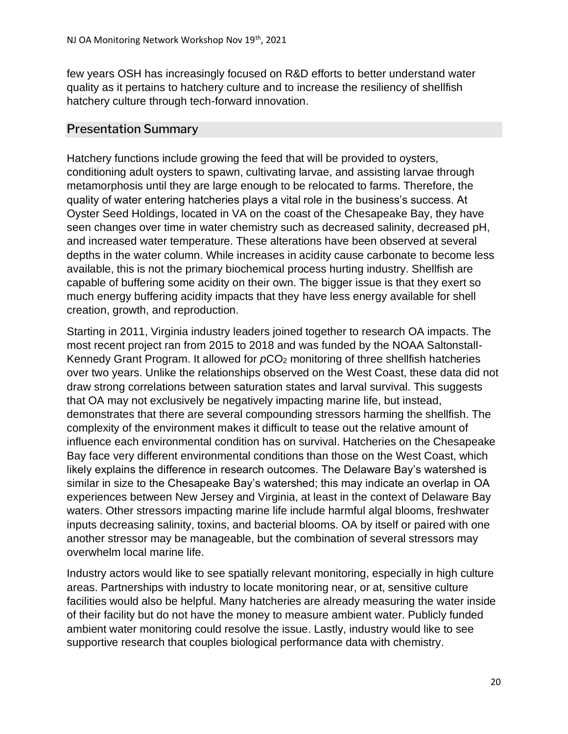few years OSH has increasingly focused on R&D efforts to better understand water quality as it pertains to hatchery culture and to increase the resiliency of shellfish hatchery culture through tech-forward innovation.

## Presentation Summary

Hatchery functions include growing the feed that will be provided to oysters, conditioning adult oysters to spawn, cultivating larvae, and assisting larvae through metamorphosis until they are large enough to be relocated to farms. Therefore, the quality of water entering hatcheries plays a vital role in the business's success. At Oyster Seed Holdings, located in VA on the coast of the Chesapeake Bay, they have seen changes over time in water chemistry such as decreased salinity, decreased pH, and increased water temperature. These alterations have been observed at several depths in the water column. While increases in acidity cause carbonate to become less available, this is not the primary biochemical process hurting industry. Shellfish are capable of buffering some acidity on their own. The bigger issue is that they exert so much energy buffering acidity impacts that they have less energy available for shell creation, growth, and reproduction.

Starting in 2011, Virginia industry leaders joined together to research OA impacts. The most recent project ran from 2015 to 2018 and was funded by the NOAA Saltonstall-Kennedy Grant Program. It allowed for  $pCO<sub>2</sub>$  monitoring of three shellfish hatcheries over two years. Unlike the relationships observed on the West Coast, these data did not draw strong correlations between saturation states and larval survival. This suggests that OA may not exclusively be negatively impacting marine life, but instead, demonstrates that there are several compounding stressors harming the shellfish. The complexity of the environment makes it difficult to tease out the relative amount of influence each environmental condition has on survival. Hatcheries on the Chesapeake Bay face very different environmental conditions than those on the West Coast, which likely explains the difference in research outcomes. The Delaware Bay's watershed is similar in size to the Chesapeake Bay's watershed; this may indicate an overlap in OA experiences between New Jersey and Virginia, at least in the context of Delaware Bay waters. Other stressors impacting marine life include harmful algal blooms, freshwater inputs decreasing salinity, toxins, and bacterial blooms. OA by itself or paired with one another stressor may be manageable, but the combination of several stressors may overwhelm local marine life.

Industry actors would like to see spatially relevant monitoring, especially in high culture areas. Partnerships with industry to locate monitoring near, or at, sensitive culture facilities would also be helpful. Many hatcheries are already measuring the water inside of their facility but do not have the money to measure ambient water. Publicly funded ambient water monitoring could resolve the issue. Lastly, industry would like to see supportive research that couples biological performance data with chemistry.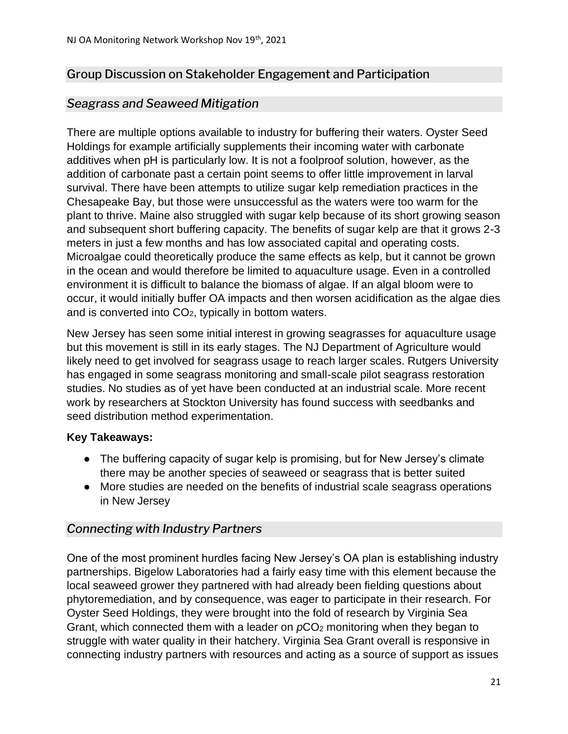## <span id="page-20-0"></span>Group Discussion on Stakeholder Engagement and Participation

#### <span id="page-20-1"></span>*Seagrass and Seaweed Mitigation*

There are multiple options available to industry for buffering their waters. Oyster Seed Holdings for example artificially supplements their incoming water with carbonate additives when pH is particularly low. It is not a foolproof solution, however, as the addition of carbonate past a certain point seems to offer little improvement in larval survival. There have been attempts to utilize sugar kelp remediation practices in the Chesapeake Bay, but those were unsuccessful as the waters were too warm for the plant to thrive. Maine also struggled with sugar kelp because of its short growing season and subsequent short buffering capacity. The benefits of sugar kelp are that it grows 2-3 meters in just a few months and has low associated capital and operating costs. Microalgae could theoretically produce the same effects as kelp, but it cannot be grown in the ocean and would therefore be limited to aquaculture usage. Even in a controlled environment it is difficult to balance the biomass of algae. If an algal bloom were to occur, it would initially buffer OA impacts and then worsen acidification as the algae dies and is converted into CO2, typically in bottom waters.

New Jersey has seen some initial interest in growing seagrasses for aquaculture usage but this movement is still in its early stages. The NJ Department of Agriculture would likely need to get involved for seagrass usage to reach larger scales. Rutgers University has engaged in some seagrass monitoring and small-scale pilot seagrass restoration studies. No studies as of yet have been conducted at an industrial scale. More recent work by researchers at Stockton University has found success with seedbanks and seed distribution method experimentation.

#### **Key Takeaways:**

- The buffering capacity of sugar kelp is promising, but for New Jersey's climate there may be another species of seaweed or seagrass that is better suited
- More studies are needed on the benefits of industrial scale seagrass operations in New Jersey

#### <span id="page-20-2"></span>*Connecting with Industry Partners*

One of the most prominent hurdles facing New Jersey's OA plan is establishing industry partnerships. Bigelow Laboratories had a fairly easy time with this element because the local seaweed grower they partnered with had already been fielding questions about phytoremediation, and by consequence, was eager to participate in their research. For Oyster Seed Holdings, they were brought into the fold of research by Virginia Sea Grant, which connected them with a leader on  $pCO<sub>2</sub>$  monitoring when they began to struggle with water quality in their hatchery. Virginia Sea Grant overall is responsive in connecting industry partners with resources and acting as a source of support as issues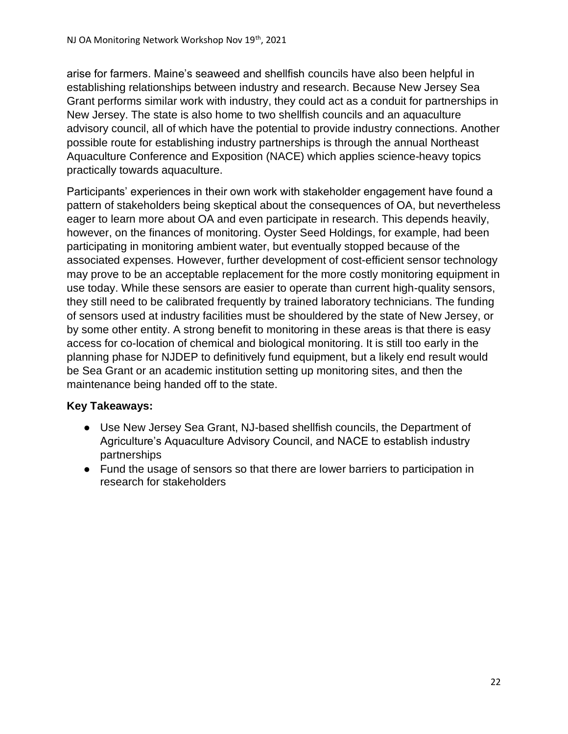arise for farmers. Maine's seaweed and shellfish councils have also been helpful in establishing relationships between industry and research. Because New Jersey Sea Grant performs similar work with industry, they could act as a conduit for partnerships in New Jersey. The state is also home to two shellfish councils and an aquaculture advisory council, all of which have the potential to provide industry connections. Another possible route for establishing industry partnerships is through the annual Northeast Aquaculture Conference and Exposition (NACE) which applies science-heavy topics practically towards aquaculture.

Participants' experiences in their own work with stakeholder engagement have found a pattern of stakeholders being skeptical about the consequences of OA, but nevertheless eager to learn more about OA and even participate in research. This depends heavily, however, on the finances of monitoring. Oyster Seed Holdings, for example, had been participating in monitoring ambient water, but eventually stopped because of the associated expenses. However, further development of cost-efficient sensor technology may prove to be an acceptable replacement for the more costly monitoring equipment in use today. While these sensors are easier to operate than current high-quality sensors, they still need to be calibrated frequently by trained laboratory technicians. The funding of sensors used at industry facilities must be shouldered by the state of New Jersey, or by some other entity. A strong benefit to monitoring in these areas is that there is easy access for co-location of chemical and biological monitoring. It is still too early in the planning phase for NJDEP to definitively fund equipment, but a likely end result would be Sea Grant or an academic institution setting up monitoring sites, and then the maintenance being handed off to the state.

#### **Key Takeaways:**

- Use New Jersey Sea Grant, NJ-based shellfish councils, the Department of Agriculture's Aquaculture Advisory Council, and NACE to establish industry partnerships
- Fund the usage of sensors so that there are lower barriers to participation in research for stakeholders